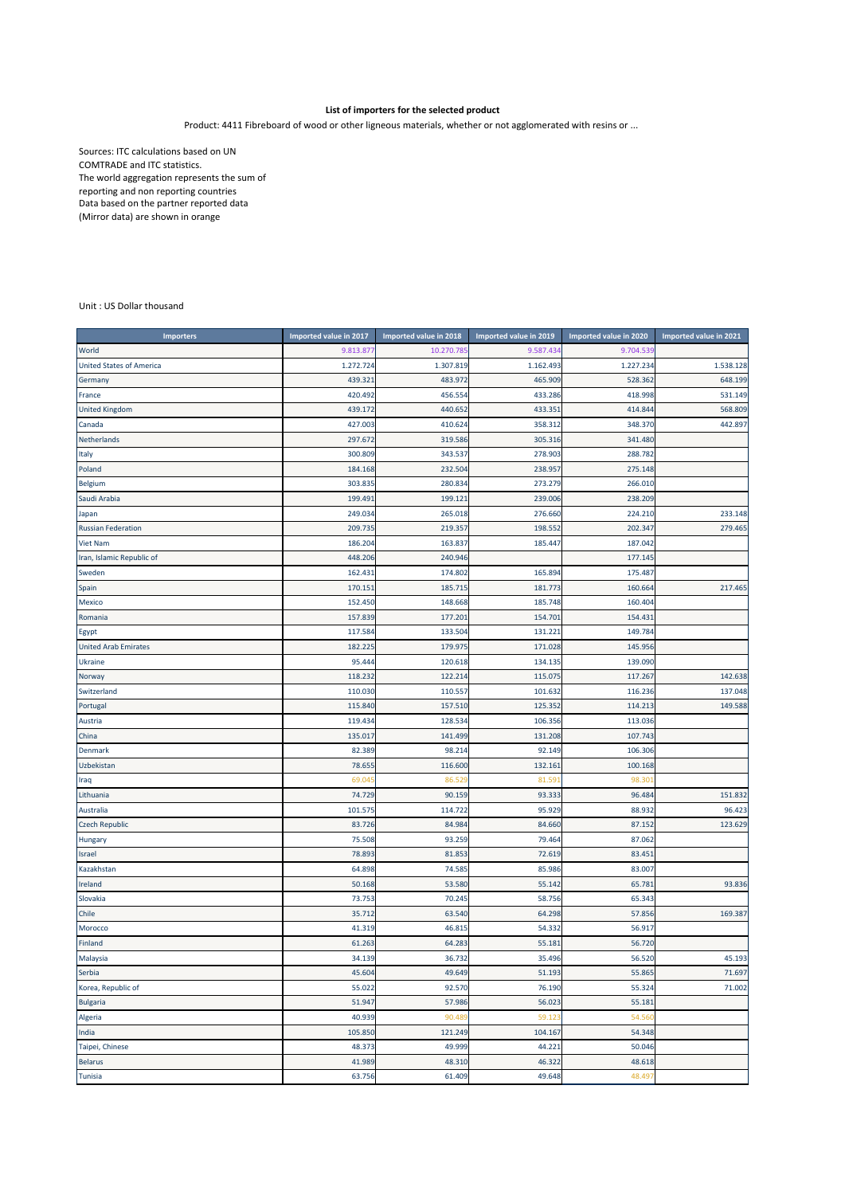## **List of importers for the selected product**

Product: 4411 Fibreboard of wood or other ligneous materials, whether or not agglomerated with resins or ...

Sources: ITC calculations based on UN COMTRADE and ITC statistics. The world aggregation represents the sum of reporting and non reporting countries Data based on the partner reported data (Mirror data) are shown in orange

## Unit : US Dollar thousand

| <b>Importers</b>                | Imported value in 2017 | Imported value in 2018 | Imported value in 2019 | Imported value in 2020 | Imported value in 2021 |
|---------------------------------|------------------------|------------------------|------------------------|------------------------|------------------------|
| World                           | 9.813.87               | 10.270.78              | 9.587.434              | 9.704.53               |                        |
| <b>United States of America</b> | 1.272.724              | 1.307.819              | 1.162.493              | 1.227.234              | 1.538.128              |
| Germany                         | 439.32                 | 483.972                | 465.909                | 528.362                | 648.199                |
| France                          | 420.492                | 456.554                | 433.286                | 418.998                | 531.149                |
| <b>United Kingdom</b>           | 439.172                | 440.652                | 433.351                | 414.84                 | 568.809                |
| Canada                          | 427.003                | 410.624                | 358.312                | 348.370                | 442.897                |
| Netherlands                     | 297.672                | 319.586                | 305.316                | 341.480                |                        |
| Italy                           | 300.809                | 343.537                | 278.903                | 288.782                |                        |
| Poland                          | 184.168                | 232.504                | 238.957                | 275.148                |                        |
| Belgium                         | 303.835                | 280.834                | 273.279                | 266.010                |                        |
| Saudi Arabia                    | 199.49:                | 199.121                | 239.006                | 238.209                |                        |
| Japan                           | 249.034                | 265.018                | 276.660                | 224.210                | 233.148                |
| <b>Russian Federation</b>       | 209.735                | 219.357                | 198.552                | 202.34                 | 279.465                |
| <b>Viet Nam</b>                 | 186.204                | 163.837                | 185.447                | 187.042                |                        |
| Iran, Islamic Republic of       | 448.206                | 240.946                |                        | 177.145                |                        |
| Sweden                          | 162.43                 | 174.802                | 165.894                | 175.48                 |                        |
| Spain                           | 170.151                | 185.715                | 181.773                | 160.664                | 217.465                |
| Mexico                          | 152.450                | 148.668                | 185.748                | 160.404                |                        |
| Romania                         | 157.839                | 177.201                | 154.701                | 154.43                 |                        |
| Egypt                           | 117.584                | 133.504                | 131.221                | 149.784                |                        |
| <b>United Arab Emirates</b>     | 182.22                 | 179.975                | 171.028                | 145.956                |                        |
| Ukraine                         | 95.444                 | 120.618                | 134.135                | 139.090                |                        |
| Norway                          | 118.232                | 122.214                | 115.075                | 117.26                 | 142.638                |
| Switzerland                     | 110.030                | 110.557                | 101.632                | 116.236                | 137.048                |
| Portugal                        | 115.840                | 157.510                | 125.352                | 114.21                 | 149.588                |
| Austria                         | 119.434                | 128.534                | 106.356                | 113.036                |                        |
| China                           | 135.017                | 141.499                | 131.208                | 107.743                |                        |
| Denmark                         | 82.389                 | 98.214                 | 92.149                 | 106.306                |                        |
| Uzbekistan                      | 78.655                 | 116.600                | 132.161                | 100.168                |                        |
| Iraq                            | 69.04                  | 86.52                  | 81.59                  | 98.30                  |                        |
| Lithuania                       | 74.729                 | 90.159                 | 93.333                 | 96.484                 | 151.832                |
| Australia                       | 101.575                | 114.722                | 95.929                 | 88.932                 | 96.423                 |
| <b>Czech Republic</b>           | 83.726                 | 84.984                 | 84.660                 | 87.152                 | 123.629                |
| Hungary                         | 75.508                 | 93.259                 | 79.464                 | 87.062                 |                        |
| Israel                          | 78.893                 | 81.853                 | 72.619                 | 83.45                  |                        |
| Kazakhstan                      | 64.898                 | 74.585                 | 85.986                 | 83.007                 |                        |
| Ireland                         | 50.168                 | 53.580                 | 55.142                 | 65.78                  | 93.836                 |
| Slovakia                        | 73.753                 | 70.245                 | 58.756                 | 65.343                 |                        |
| Chile                           | 35.712                 | 63.540                 | 64.298                 | 57.856                 | 169.387                |
| Morocco                         | 41.319                 | 46.815                 | 54.332                 | 56.917                 |                        |
| Finland                         | 61.263                 | 64.283                 | 55.181                 | 56.720                 |                        |
| Malaysia                        | 34.139                 | 36.732                 | 35.496                 | 56.520                 | 45.193                 |
| Serbia                          | 45.604                 | 49.649                 | 51.193                 | 55.865                 | 71.697                 |
| Korea, Republic of              | 55.022                 | 92.570                 | 76.190                 | 55.324                 | 71.002                 |
| <b>Bulgaria</b>                 | 51.947                 | 57.986                 | 56.023                 | 55.181                 |                        |
| Algeria                         | 40.939                 | 90.48                  | 59.123                 | 54.56                  |                        |
| India                           | 105.850                | 121.249                | 104.167                | 54.348                 |                        |
| Taipei, Chinese                 | 48.373                 | 49.999                 | 44.221                 | 50.046                 |                        |
| <b>Belarus</b>                  | 41.989                 | 48.310                 | 46.322                 | 48.618                 |                        |
| Tunisia                         | 63.756                 | 61.409                 | 49.648                 | 48.497                 |                        |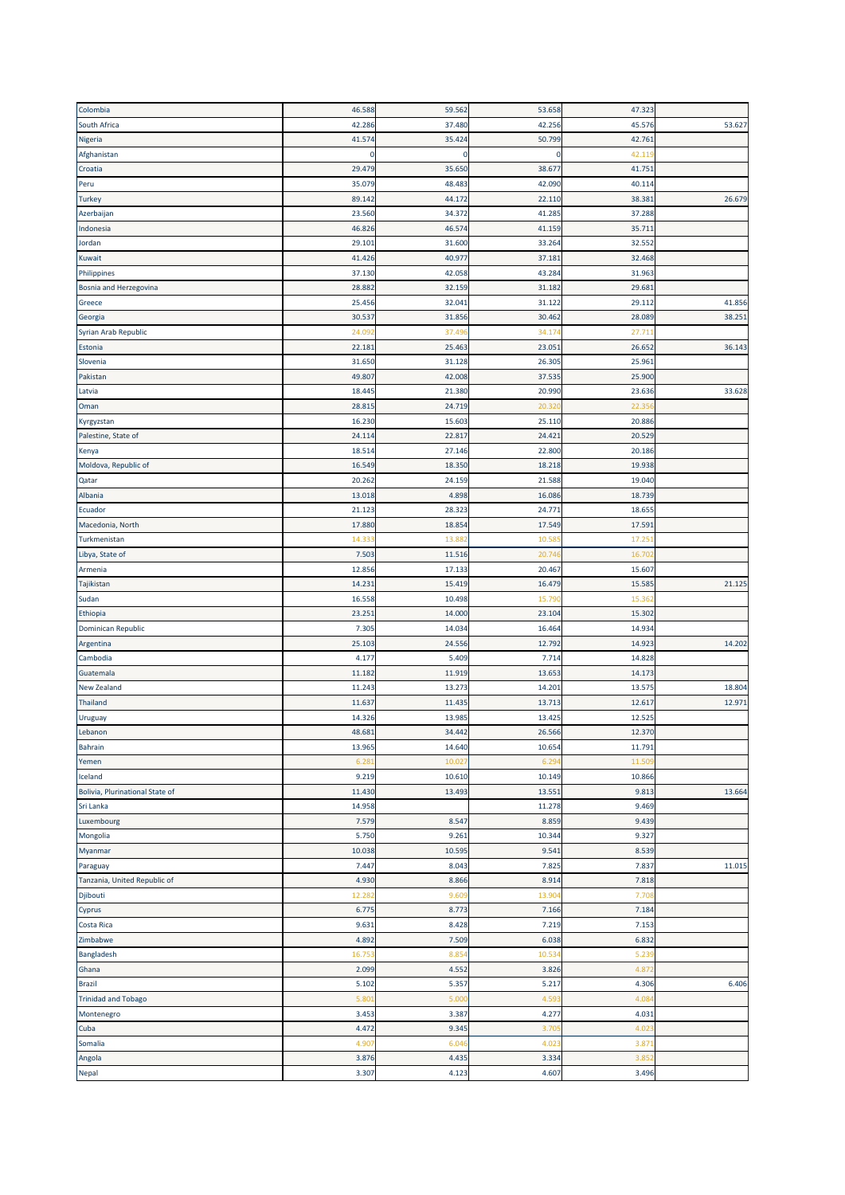| Colombia                        | 46.588      | 59.562 | 53.658          | 47.323           |        |
|---------------------------------|-------------|--------|-----------------|------------------|--------|
| South Africa                    | 42.286      | 37.480 | 42.256          | 45.576           | 53.627 |
| Nigeria                         | 41.574      | 35.424 | 50.799          | 42.761           |        |
| Afghanistan                     | $\mathbf 0$ | 0      | $\mathbf 0$     | 42.119           |        |
| Croatia                         | 29.479      | 35.650 | 38.67           | 41.751           |        |
| Peru                            | 35.079      | 48.483 | 42.090          | 40.114           |        |
| <b>Turkey</b>                   | 89.142      | 44.172 | 22.110          | 38.381           | 26.679 |
| Azerbaijan                      | 23.560      | 34.372 | 41.285          | 37.288           |        |
| Indonesia                       | 46.826      | 46.574 | 41.159          | 35.711           |        |
| Jordan                          | 29.101      | 31.600 | 33.264          | 32.552           |        |
| Kuwait                          | 41.426      | 40.977 | 37.181          | 32.468           |        |
| Philippines                     | 37.130      | 42.058 | 43.284          | 31.963           |        |
| Bosnia and Herzegovina          | 28.882      | 32.159 | 31.182          | 29.681           |        |
| Greece                          | 25.456      | 32.041 | 31.122          | 29.112           | 41.856 |
|                                 | 30.537      | 31.856 | 30.462          | 28.089           | 38.251 |
| Georgia                         | 24.09       | 37.49  |                 |                  |        |
| Syrian Arab Republic            | 22.181      | 25.463 | 34.17<br>23.051 | 27.711<br>26.652 | 36.143 |
| Estonia                         |             |        |                 |                  |        |
| Slovenia                        | 31.650      | 31.128 | 26.305          | 25.961           |        |
| Pakistan                        | 49.807      | 42.008 | 37.535          | 25.900           |        |
| Latvia                          | 18.445      | 21.380 | 20.990          | 23.636           | 33.628 |
| Oman                            | 28.815      | 24.719 | 20.32           | 22.35            |        |
| Kyrgyzstan                      | 16.230      | 15.603 | 25.110          | 20.886           |        |
| Palestine, State of             | 24.114      | 22.817 | 24.421          | 20.529           |        |
| Kenya                           | 18.514      | 27.146 | 22.800          | 20.186           |        |
| Moldova, Republic of            | 16.549      | 18.350 | 18.218          | 19.938           |        |
| Qatar                           | 20.262      | 24.159 | 21.588          | 19.040           |        |
| Albania                         | 13.018      | 4.898  | 16.086          | 18.739           |        |
| Ecuador                         | 21.123      | 28.323 | 24.771          | 18.655           |        |
| Macedonia, North                | 17.880      | 18.854 | 17.549          | 17.591           |        |
| Turkmenistan                    | 14.33       | 13.88  | 10.58           | 17.25            |        |
| Libya, State of                 | 7.503       | 11.516 | 20.74           | 16.70            |        |
| Armenia                         | 12.856      | 17.133 | 20.467          | 15.607           |        |
| Tajikistan                      | 14.231      | 15.419 | 16.479          | 15.585           | 21.125 |
| Sudan                           | 16.558      | 10.498 | 15.79           | 15.36            |        |
| Ethiopia                        | 23.251      | 14.000 | 23.104          | 15.302           |        |
| Dominican Republic              | 7.305       | 14.034 | 16.464          | 14.934           |        |
| Argentina                       | 25.103      | 24.556 | 12.792          | 14.923           | 14.202 |
| Cambodia                        | 4.177       | 5.409  | 7.714           | 14.828           |        |
| Guatemala                       | 11.182      | 11.919 | 13.653          | 14.173           |        |
| New Zealand                     | 11.243      | 13.273 | 14.201          | 13.575           | 18.804 |
| <b>Thailand</b>                 | 11.637      | 11.435 | 13.713          | 12.617           | 12.971 |
| Uruguay                         | 14.326      | 13.985 | 13.425          | 12.525           |        |
| Lebanon                         | 48.681      | 34.442 | 26.566          | 12.370           |        |
| Bahrain                         | 13.965      | 14.640 | 10.654          | 11.791           |        |
| Yemen                           | 6.28        | 10.02  | 6.29            | 11.50            |        |
| Iceland                         | 9.219       | 10.610 | 10.149          | 10.866           |        |
| Bolivia, Plurinational State of | 11.430      | 13.493 | 13.551          | 9.813            | 13.664 |
| Sri Lanka                       | 14.958      |        | 11.278          | 9.469            |        |
| Luxembourg                      | 7.579       | 8.547  | 8.859           | 9.439            |        |
| Mongolia                        | 5.750       | 9.261  | 10.344          | 9.327            |        |
| Myanmar                         | 10.038      | 10.595 | 9.541           | 8.539            |        |
|                                 | 7.447       | 8.043  | 7.825           | 7.837            | 11.015 |
| Paraguay                        |             |        |                 |                  |        |
| Tanzania, United Republic of    | 4.930       | 8.866  | 8.914           | 7.818            |        |
| Djibouti                        | 12.282      | 9.609  | 13.904          | 7.708            |        |
| Cyprus                          | 6.775       | 8.773  | 7.166           | 7.184            |        |
| Costa Rica                      | 9.631       | 8.428  | 7.219           | 7.153            |        |
| Zimbabwe                        | 4.892       | 7.509  | 6.038           | 6.832            |        |
| Bangladesh                      | 16.75       | 8.85   | 10.53           | 5.239            |        |
| Ghana                           | 2.099       | 4.552  | 3.826           | 4.87             |        |
| <b>Brazil</b>                   | 5.102       | 5.357  | 5.217           | 4.306            | 6.406  |
| <b>Trinidad and Tobago</b>      | 5.80        | 5.00   | 4.59            | 4.08             |        |
| Montenegro                      | 3.453       | 3.387  | 4.277           | 4.031            |        |
| Cuba                            | 4.472       | 9.345  | 3.70            | 4.02             |        |
| Somalia                         | 4.907       | 6.046  | 4.02            | 3.87             |        |
| Angola                          | 3.876       | 4.435  | 3.334           | 3.85             |        |
| Nepal                           | 3.307       | 4.123  | 4.607           | 3.496            |        |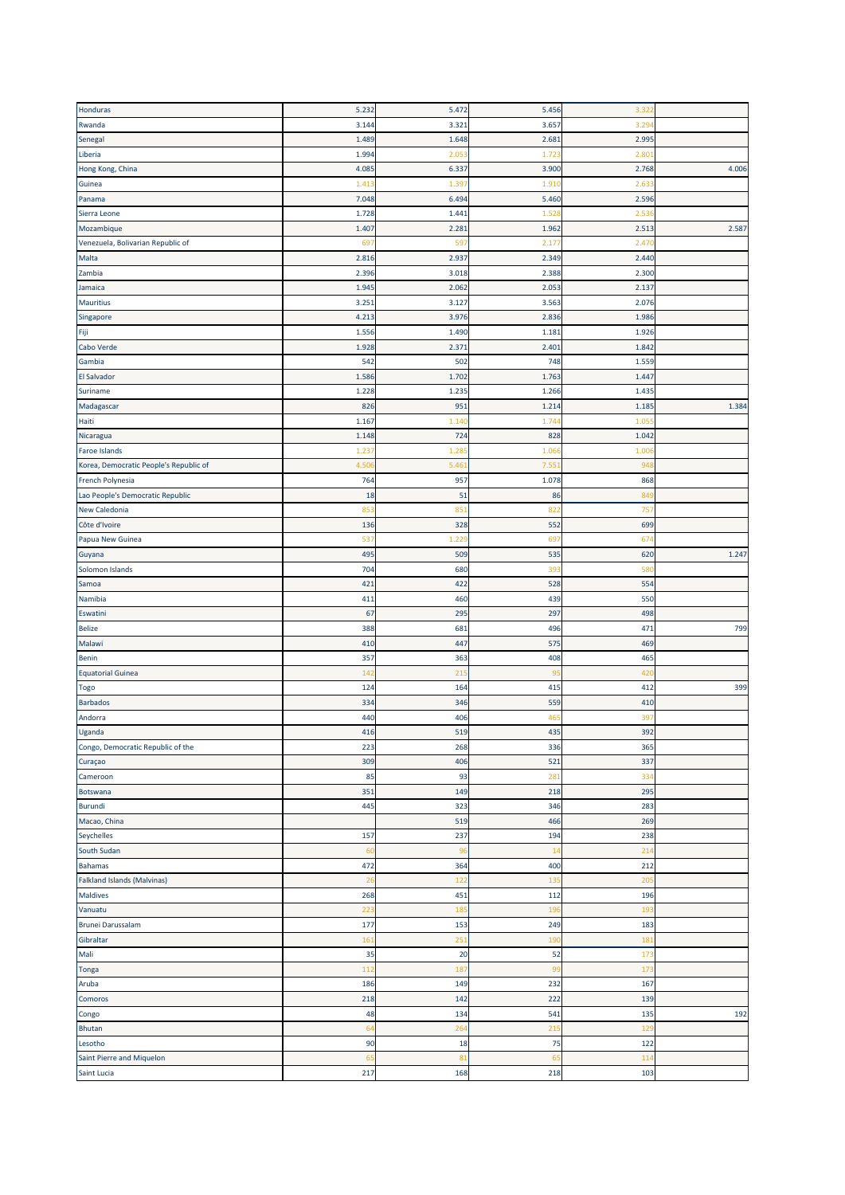| Honduras                               | 5.232 | 5.472             | 5.456 | 3.321           |       |
|----------------------------------------|-------|-------------------|-------|-----------------|-------|
| Rwanda                                 | 3.144 | 3.321             | 3.657 | 3.29            |       |
| Senegal                                | 1.489 | 1.648             | 2.681 | 2.995           |       |
| Liberia                                | 1.994 | 2.05              | 1.723 | 2.80            |       |
| Hong Kong, China                       | 4.085 | 6.337             | 3.900 | 2.768           | 4.006 |
| Guinea                                 | 1.413 | 1.39              | 1.91  | 2.63            |       |
| Panama                                 | 7.048 | 6.494             | 5.460 | 2.596           |       |
| Sierra Leone                           | 1.728 | 1.441             | 1.528 | 2.53            |       |
| Mozambique                             | 1.407 | 2.281             | 1.962 | 2.513           | 2.587 |
| Venezuela, Bolivarian Republic of      | 69    | 597               | 2.17  | 2.47            |       |
| Malta                                  | 2.816 | 2.937             | 2.349 | 2.440           |       |
| Zambia                                 | 2.396 | 3.018             | 2.388 | 2.300           |       |
| Jamaica                                | 1.945 | 2.062             | 2.053 | 2.13            |       |
| Mauritius                              | 3.251 | 3.127             | 3.563 | 2.076           |       |
|                                        |       |                   |       |                 |       |
| Singapore                              | 4.213 | 3.976             | 2.836 | 1.986           |       |
| Fiji                                   | 1.556 | 1.490             | 1.181 | 1.926           |       |
| Cabo Verde                             | 1.928 | 2.37 <sup>2</sup> | 2.40  | 1.84            |       |
| Gambia                                 | 542   | 502               | 748   | 1.559           |       |
| <b>El Salvador</b>                     | 1.586 | 1.702             | 1.763 | 1.44            |       |
| Suriname                               | 1.228 | 1.23              | 1.266 | 1.43            |       |
| Madagascar                             | 826   | 95 <sub>2</sub>   | 1.214 | 1.185           | 1.384 |
| Haiti                                  | 1.167 | 1.14              | 1.74  | 1.05            |       |
| Nicaragua                              | 1.148 | 724               | 828   | 1.042           |       |
| Faroe Islands                          | 1.23  | 1.28              | 1.066 | 1.00            |       |
| Korea, Democratic People's Republic of | 4.50  | 5.46              | 7.551 | 94              |       |
| French Polynesia                       | 764   | 957               | 1.078 | 868             |       |
| Lao People's Democratic Republic       | 18    | 51                | 86    | 849             |       |
| <b>New Caledonia</b>                   | 853   | 85                | 822   | 757             |       |
| Côte d'Ivoire                          | 136   | 328               | 552   | 699             |       |
| Papua New Guinea                       | 537   | 1.22              | 697   | 67              |       |
| Guyana                                 | 495   | 509               | 535   | 620             | 1.247 |
| Solomon Islands                        | 704   | 680               | 393   | 580             |       |
| Samoa                                  | 421   | 422               | 528   | 554             |       |
| Namibia                                | 411   | 460               | 439   | 550             |       |
| Eswatini                               | 67    | 295               | 297   | 498             |       |
| <b>Belize</b>                          | 388   | 681               | 496   | 471             | 799   |
| Malawi                                 | 410   | 447               | 575   | 469             |       |
| <b>Benin</b>                           | 357   | 363               | 408   | 465             |       |
| <b>Equatorial Guinea</b>               | 142   | 21!               | 95    | 420             |       |
| <b>Togo</b>                            | 124   | 164               | 415   | 412             | 399   |
| <b>Barbados</b>                        | 334   | 346               | 559   | 410             |       |
| Andorra                                | 440   | 406               | 46    | 397             |       |
| Uganda                                 | 416   | 519               | 435   | 392             |       |
| Congo, Democratic Republic of the      | 223   | 268               | 336   | 365             |       |
| Curaçao                                | 309   | 406               | 521   | 337             |       |
| Cameroon                               | 85    | 93                | 281   | 33              |       |
| Botswana                               | 351   | 149               | 218   | 295             |       |
| <b>Burundi</b>                         | 445   | 323               | 346   | 283             |       |
| Macao, China                           |       | 519               | 466   | 269             |       |
| Seychelles                             | 157   | 237               | 194   | 238             |       |
| South Sudan                            | 60    | 96                | 14    | 214             |       |
| <b>Bahamas</b>                         | 472   | 364               | 400   | 212             |       |
|                                        |       |                   |       |                 |       |
| <b>Falkland Islands (Malvinas)</b>     | 26    | 122               | 135   | 205             |       |
| Maldives                               | 268   | 451               | 112   | 196             |       |
| Vanuatu                                | 223   | 185               | 196   | 193             |       |
| Brunei Darussalam                      | 177   | 153               | 249   | 183             |       |
| Gibraltar                              | 161   | 25 <sub>2</sub>   | 190   | 18 <sub>2</sub> |       |
| Mali                                   | 35    | 20                | 52    | 17 <sub>3</sub> |       |
| Tonga                                  | 112   | 187               | 99    | 173             |       |
| Aruba                                  | 186   | 149               | 232   | 167             |       |
| Comoros                                | 218   | 142               | 222   | 139             |       |
| Congo                                  | 48    | 134               | 541   | 135             | 192   |
| Bhutan                                 | 64    | 264               | 215   | 129             |       |
| Lesotho                                | 90    | 18                | 75    | 122             |       |
| Saint Pierre and Miquelon              | 65    | 81                | 65    | 11 <sup>2</sup> |       |
| Saint Lucia                            | 217   | 168               | 218   | 103             |       |